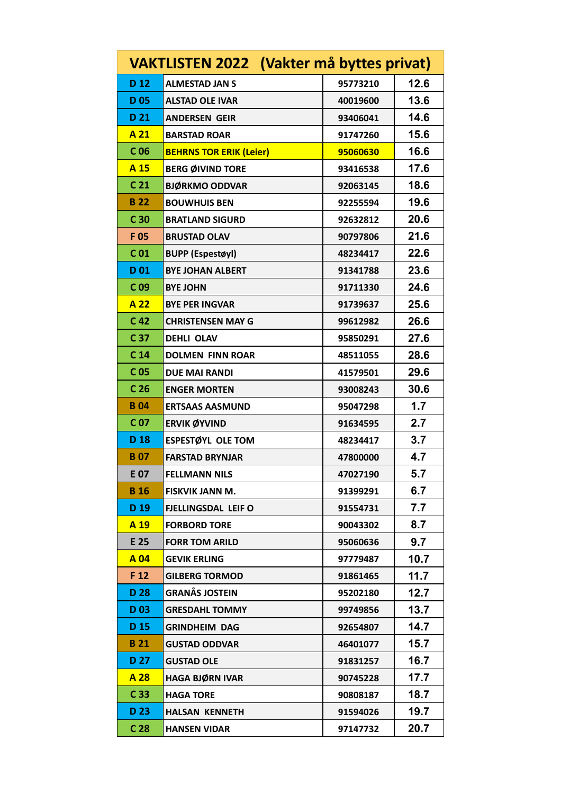|                 | VAKTLISTEN 2022 (Vakter må byttes privat) |          |      |
|-----------------|-------------------------------------------|----------|------|
| D <sub>12</sub> | <b>ALMESTAD JAN S</b>                     | 95773210 | 12.6 |
| <b>D05</b>      | <b>ALSTAD OLE IVAR</b>                    | 40019600 | 13.6 |
| D 21            | <b>ANDERSEN GEIR</b>                      | 93406041 | 14.6 |
| A 21            | <b>BARSTAD ROAR</b>                       | 91747260 | 15.6 |
| C <sub>06</sub> | <b>BEHRNS TOR ERIK (Leier)</b>            | 95060630 | 16.6 |
| A 15            | <b>BERG ØIVIND TORE</b>                   | 93416538 | 17.6 |
| C <sub>21</sub> | <b>BJØRKMO ODDVAR</b>                     | 92063145 | 18.6 |
| <b>B22</b>      | <b>BOUWHUIS BEN</b>                       | 92255594 | 19.6 |
| C <sub>30</sub> | <b>BRATLAND SIGURD</b>                    | 92632812 | 20.6 |
| F 05            | <b>BRUSTAD OLAV</b>                       | 90797806 | 21.6 |
| C <sub>01</sub> | <b>BUPP (Espestøyl)</b>                   | 48234417 | 22.6 |
| D <sub>01</sub> | <b>BYE JOHAN ALBERT</b>                   | 91341788 | 23.6 |
| C <sub>09</sub> | <b>BYE JOHN</b>                           | 91711330 | 24.6 |
| A 22            | <b>BYE PER INGVAR</b>                     | 91739637 | 25.6 |
| C <sub>42</sub> | <b>CHRISTENSEN MAY G</b>                  | 99612982 | 26.6 |
| C 37            | <b>DEHLI OLAV</b>                         | 95850291 | 27.6 |
| C <sub>14</sub> | <b>DOLMEN FINN ROAR</b>                   | 48511055 | 28.6 |
| C <sub>05</sub> | <b>DUE MAI RANDI</b>                      | 41579501 | 29.6 |
| C <sub>26</sub> | <b>ENGER MORTEN</b>                       | 93008243 | 30.6 |
| <b>B04</b>      | <b>ERTSAAS AASMUND</b>                    | 95047298 | 1.7  |
| C <sub>07</sub> | <b>ERVIK ØYVIND</b>                       | 91634595 | 2.7  |
| D 18            | <b>ESPESTØYL OLE TOM</b>                  | 48234417 | 3.7  |
| <b>B07</b>      | <b>FARSTAD BRYNJAR</b>                    | 47800000 | 4.7  |
| E 07            | <b>FELLMANN NILS</b>                      | 47027190 | 5.7  |
| <b>B</b> 16     | <b>FISKVIK JANN M.</b>                    | 91399291 | 6.7  |
| D <sub>19</sub> | <b>FJELLINGSDAL LEIF O</b>                | 91554731 | 7.7  |
| A 19            | <b>FORBORD TORE</b>                       | 90043302 | 8.7  |
| E 25            | <b>FORR TOM ARILD</b>                     | 95060636 | 9.7  |
| A 04            | <b>GEVIK ERLING</b>                       | 97779487 | 10.7 |
| F 12            | <b>GILBERG TORMOD</b>                     | 91861465 | 11.7 |
| D 28            | <b>GRANÅS JOSTEIN</b>                     | 95202180 | 12.7 |
| D <sub>03</sub> | <b>GRESDAHL TOMMY</b>                     | 99749856 | 13.7 |
| D <sub>15</sub> | <b>GRINDHEIM DAG</b>                      | 92654807 | 14.7 |
| <b>B21</b>      | <b>GUSTAD ODDVAR</b>                      | 46401077 | 15.7 |
| D 27            | <b>GUSTAD OLE</b>                         | 91831257 | 16.7 |
| A 28            | <b>HAGA BJØRN IVAR</b>                    | 90745228 | 17.7 |
| C <sub>33</sub> | <b>HAGA TORE</b>                          | 90808187 | 18.7 |
| D 23            | <b>HALSAN KENNETH</b>                     | 91594026 | 19.7 |
| C <sub>28</sub> | <b>HANSEN VIDAR</b>                       | 97147732 | 20.7 |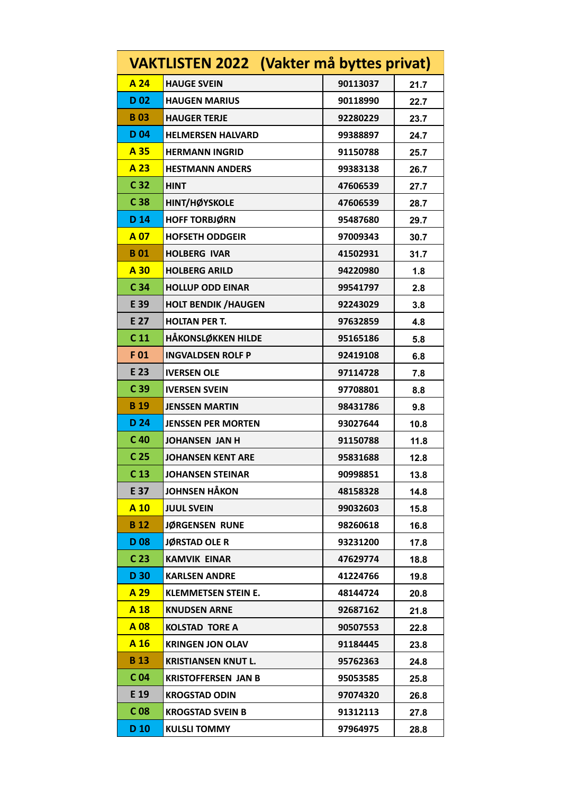|                 | <b>VAKTLISTEN 2022 (Vakter må byttes privat)</b> |          |      |
|-----------------|--------------------------------------------------|----------|------|
| A 24            | <b>HAUGE SVEIN</b>                               | 90113037 | 21.7 |
| D <sub>02</sub> | <b>HAUGEN MARIUS</b>                             | 90118990 | 22.7 |
| <b>B03</b>      | <b>HAUGER TERJE</b>                              | 92280229 | 23.7 |
| D <sub>04</sub> | <b>HELMERSEN HALVARD</b>                         | 99388897 | 24.7 |
| A 35            | <b>HERMANN INGRID</b>                            | 91150788 | 25.7 |
| A 23            | <b>HESTMANN ANDERS</b>                           | 99383138 | 26.7 |
| C <sub>32</sub> | HINT                                             | 47606539 | 27.7 |
| C <sub>38</sub> | HINT/HØYSKOLE                                    | 47606539 | 28.7 |
| D 14            | <b>HOFF TORBJØRN</b>                             | 95487680 | 29.7 |
| A 07            | <b>HOFSETH ODDGEIR</b>                           | 97009343 | 30.7 |
| <b>B01</b>      | <b>HOLBERG IVAR</b>                              | 41502931 | 31.7 |
| A 30            | <b>HOLBERG ARILD</b>                             | 94220980 | 1.8  |
| C <sub>34</sub> | <b>HOLLUP ODD EINAR</b>                          | 99541797 | 2.8  |
| E 39            | <b>HOLT BENDIK / HAUGEN</b>                      | 92243029 | 3.8  |
| E 27            | <b>HOLTAN PER T.</b>                             | 97632859 | 4.8  |
| C <sub>11</sub> | <b>HÅKONSLØKKEN HILDE</b>                        | 95165186 | 5.8  |
| F01             | <b>INGVALDSEN ROLF P</b>                         | 92419108 | 6.8  |
| E 23            | <b>IVERSEN OLE</b>                               | 97114728 | 7.8  |
| C <sub>39</sub> | <b>IVERSEN SVEIN</b>                             | 97708801 | 8.8  |
| <b>B</b> 19     | <b>JENSSEN MARTIN</b>                            | 98431786 | 9.8  |
| D 24            | <b>JENSSEN PER MORTEN</b>                        | 93027644 | 10.8 |
| C <sub>40</sub> | <b>JOHANSEN JAN H</b>                            | 91150788 | 11.8 |
| C <sub>25</sub> | <b>JOHANSEN KENT ARE</b>                         | 95831688 | 12.8 |
| C <sub>13</sub> | <b>JOHANSEN STEINAR</b>                          | 90998851 | 13.8 |
| E 37            | <b>JOHNSEN HÅKON</b>                             | 48158328 | 14.8 |
| A 10            | <b>JUUL SVEIN</b>                                | 99032603 | 15.8 |
| <b>B</b> 12     | JØRGENSEN RUNE                                   | 98260618 | 16.8 |
| <b>D08</b>      | <b>JØRSTAD OLE R</b>                             | 93231200 | 17.8 |
| C <sub>23</sub> | <b>KAMVIK EINAR</b>                              | 47629774 | 18.8 |
| D 30            | <b>KARLSEN ANDRE</b>                             | 41224766 | 19.8 |
| A 29            | <b>KLEMMETSEN STEIN E.</b>                       | 48144724 | 20.8 |
| A 18            | <b>KNUDSEN ARNE</b>                              | 92687162 | 21.8 |
| A 08            | <b>KOLSTAD TORE A</b>                            | 90507553 | 22.8 |
| A 16            | <b>KRINGEN JON OLAV</b>                          | 91184445 | 23.8 |
| <b>B</b> 13     | <b>KRISTIANSEN KNUT L.</b>                       | 95762363 | 24.8 |
| C <sub>04</sub> | <b>KRISTOFFERSEN JAN B</b>                       | 95053585 | 25.8 |
| E 19            | <b>KROGSTAD ODIN</b>                             | 97074320 | 26.8 |
| C <sub>08</sub> | <b>KROGSTAD SVEIN B</b>                          | 91312113 | 27.8 |
| D <sub>10</sub> | <b>KULSLI TOMMY</b>                              | 97964975 | 28.8 |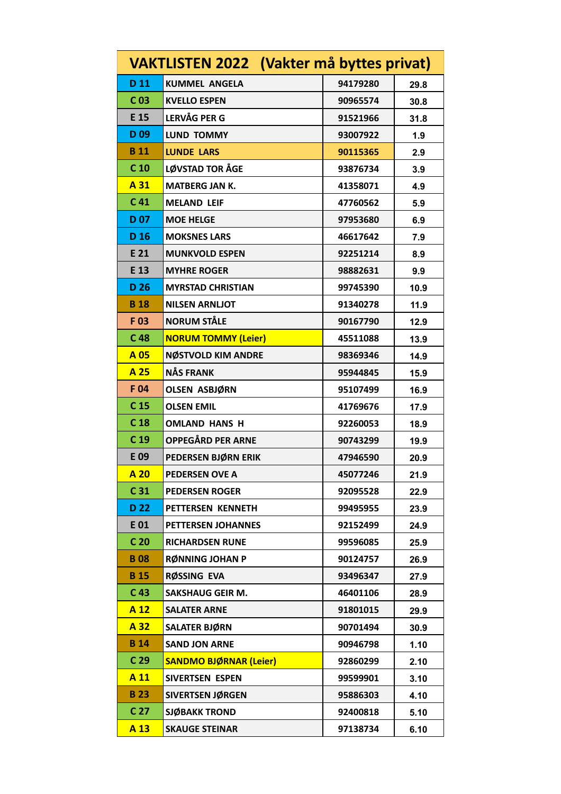|                 | <b>VAKTLISTEN 2022 (Vakter må byttes privat)</b> |          |      |
|-----------------|--------------------------------------------------|----------|------|
| D 11            | <b>KUMMEL ANGELA</b>                             | 94179280 | 29.8 |
| C <sub>03</sub> | <b>KVELLO ESPEN</b>                              | 90965574 | 30.8 |
| E 15            | <b>LERVÅG PER G</b>                              | 91521966 | 31.8 |
| D <sub>09</sub> | <b>LUND TOMMY</b>                                | 93007922 | 1.9  |
| <b>B</b> 11     | <b>LUNDE LARS</b>                                | 90115365 | 2.9  |
| C <sub>10</sub> | <b>LØVSTAD TOR ÅGE</b>                           | 93876734 | 3.9  |
| A 31            | <b>MATBERG JAN K.</b>                            | 41358071 | 4.9  |
| C <sub>41</sub> | <b>MELAND LEIF</b>                               | 47760562 | 5.9  |
| D <sub>07</sub> | <b>MOE HELGE</b>                                 | 97953680 | 6.9  |
| D <sub>16</sub> | <b>MOKSNES LARS</b>                              | 46617642 | 7.9  |
| E 21            | <b>MUNKVOLD ESPEN</b>                            | 92251214 | 8.9  |
| E 13            | <b>MYHRE ROGER</b>                               | 98882631 | 9.9  |
| D 26            | <b>MYRSTAD CHRISTIAN</b>                         | 99745390 | 10.9 |
| <b>B</b> 18     | <b>NILSEN ARNLIOT</b>                            | 91340278 | 11.9 |
| F03             | <b>NORUM STÅLE</b>                               | 90167790 | 12.9 |
| C <sub>48</sub> | <b>NORUM TOMMY (Leier)</b>                       | 45511088 | 13.9 |
| A 05            | <b>NØSTVOLD KIM ANDRE</b>                        | 98369346 | 14.9 |
| A 25            | <b>NÅS FRANK</b>                                 | 95944845 | 15.9 |
| F 04            | OLSEN ASBJØRN                                    | 95107499 | 16.9 |
| C <sub>15</sub> | <b>OLSEN EMIL</b>                                | 41769676 | 17.9 |
| C <sub>18</sub> | <b>OMLAND HANS H</b>                             | 92260053 | 18.9 |
| C <sub>19</sub> | OPPEGÅRD PER ARNE                                | 90743299 | 19.9 |
| E 09            | PEDERSEN BJØRN ERIK                              | 47946590 | 20.9 |
| A 20            | <b>PEDERSEN OVE A</b>                            | 45077246 | 21.9 |
| C <sub>31</sub> | <b>PEDERSEN ROGER</b>                            | 92095528 | 22.9 |
| D <sub>22</sub> | PETTERSEN KENNETH                                | 99495955 | 23.9 |
| E 01            | <b>PETTERSEN JOHANNES</b>                        | 92152499 | 24.9 |
| C <sub>20</sub> | <b>RICHARDSEN RUNE</b>                           | 99596085 | 25.9 |
| <b>B08</b>      | <b>RØNNING JOHAN P</b>                           | 90124757 | 26.9 |
| <b>B</b> 15     | RØSSING EVA                                      | 93496347 | 27.9 |
| C <sub>43</sub> | <b>SAKSHAUG GEIR M.</b>                          | 46401106 | 28.9 |
| A 12            | <b>SALATER ARNE</b>                              | 91801015 | 29.9 |
| A 32            | <b>SALATER BJØRN</b>                             | 90701494 | 30.9 |
| <b>B</b> 14     | <b>SAND JON ARNE</b>                             | 90946798 | 1.10 |
| C <sub>29</sub> | <b>SANDMO BJØRNAR (Leier)</b>                    | 92860299 | 2.10 |
| A 11            | SIVERTSEN ESPEN                                  | 99599901 | 3.10 |
| <b>B23</b>      | SIVERTSEN JØRGEN                                 | 95886303 | 4.10 |
| C <sub>27</sub> | <b>SJØBAKK TROND</b>                             | 92400818 | 5.10 |
| A 13            | <b>SKAUGE STEINAR</b>                            | 97138734 | 6.10 |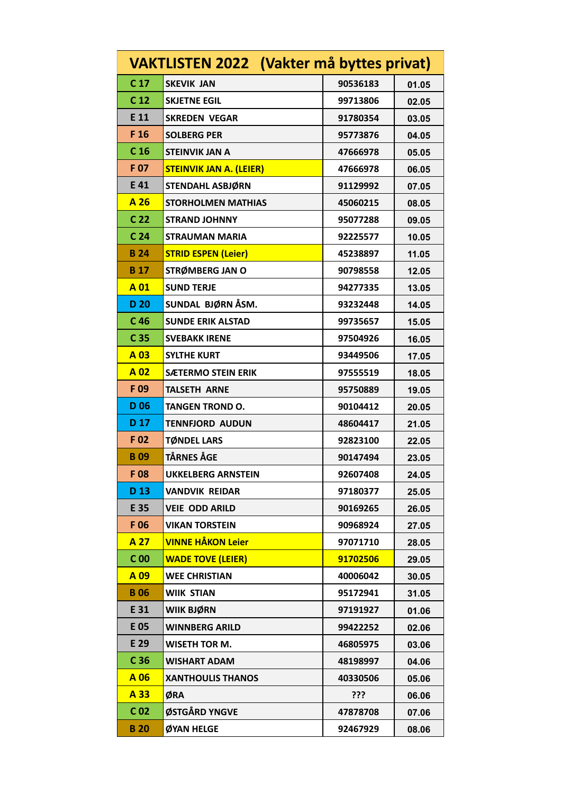|                 | VAKTLISTEN 2022 (Vakter må byttes privat) |          |       |
|-----------------|-------------------------------------------|----------|-------|
| C <sub>17</sub> | <b>SKEVIK JAN</b>                         | 90536183 | 01.05 |
| C <sub>12</sub> | <b>SKJETNE EGIL</b>                       | 99713806 | 02.05 |
| E 11            | <b>SKREDEN VEGAR</b>                      | 91780354 | 03.05 |
| F 16            | <b>SOLBERG PER</b>                        | 95773876 | 04.05 |
| C <sub>16</sub> | <b>STEINVIK JAN A</b>                     | 47666978 | 05.05 |
| F 07            | <b>STEINVIK JAN A. (LEIER)</b>            | 47666978 | 06.05 |
| E 41            | STENDAHL ASBJØRN                          | 91129992 | 07.05 |
| A 26            | <b>STORHOLMEN MATHIAS</b>                 | 45060215 | 08.05 |
| C <sub>22</sub> | <b>STRAND JOHNNY</b>                      | 95077288 | 09.05 |
| C <sub>24</sub> | <b>STRAUMAN MARIA</b>                     | 92225577 | 10.05 |
| <b>B24</b>      | <b>STRID ESPEN (Leier)</b>                | 45238897 | 11.05 |
| <b>B</b> 17     | STRØMBERG JAN O                           | 90798558 | 12.05 |
| A 01            | <b>SUND TERJE</b>                         | 94277335 | 13.05 |
| D <sub>20</sub> | SUNDAL BJØRN ÅSM.                         | 93232448 | 14.05 |
| C <sub>46</sub> | <b>SUNDE ERIK ALSTAD</b>                  | 99735657 | 15.05 |
| C <sub>35</sub> | <b>SVEBAKK IRENE</b>                      | 97504926 | 16.05 |
| A 03            | <b>SYLTHE KURT</b>                        | 93449506 | 17.05 |
| A 02            | <b>SÆTERMO STEIN ERIK</b>                 | 97555519 | 18.05 |
| F 09            | <b>TALSETH ARNE</b>                       | 95750889 | 19.05 |
| D <sub>06</sub> | <b>TANGEN TROND O.</b>                    | 90104412 | 20.05 |
| D <sub>17</sub> | <b>TENNFJORD AUDUN</b>                    | 48604417 | 21.05 |
| F 02            | <b>TØNDEL LARS</b>                        | 92823100 | 22.05 |
| <b>B09</b>      | <b>TÅRNES ÅGE</b>                         | 90147494 | 23.05 |
| F 08            | <b>UKKELBERG ARNSTEIN</b>                 | 92607408 | 24.05 |
| D <sub>13</sub> | <b>VANDVIK REIDAR</b>                     | 97180377 | 25.05 |
| E 35            | <b>VEIE ODD ARILD</b>                     | 90169265 | 26.05 |
| F 06            | <b>VIKAN TORSTEIN</b>                     | 90968924 | 27.05 |
| A 27            | <b>VINNE HÅKON Leier</b>                  | 97071710 | 28.05 |
| $C$ 00          | <b>WADE TOVE (LEIER)</b>                  | 91702506 | 29.05 |
| A 09            | <b>WEE CHRISTIAN</b>                      | 40006042 | 30.05 |
| <b>B06</b>      | <b>WIIK STIAN</b>                         | 95172941 | 31.05 |
| E 31            | WIIK BJØRN                                | 97191927 | 01.06 |
| E 05            | <b>WINNBERG ARILD</b>                     | 99422252 | 02.06 |
| E 29            | WISETH TOR M.                             | 46805975 | 03.06 |
| C <sub>36</sub> | <b>WISHART ADAM</b>                       | 48198997 | 04.06 |
| A 06            | <b>XANTHOULIS THANOS</b>                  | 40330506 | 05.06 |
| A 33            | ØRA                                       | ???      | 06.06 |
| C <sub>02</sub> | ØSTGÅRD YNGVE                             | 47878708 | 07.06 |
| <b>B20</b>      | ØYAN HELGE                                | 92467929 | 08.06 |